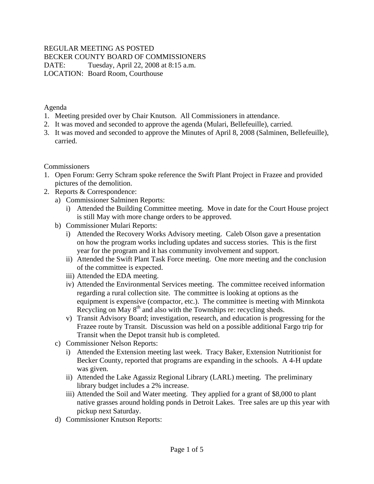# REGULAR MEETING AS POSTED

BECKER COUNTY BOARD OF COMMISSIONERS

DATE: Tuesday, April 22, 2008 at 8:15 a.m. LOCATION: Board Room, Courthouse

Agenda

- 1. Meeting presided over by Chair Knutson. All Commissioners in attendance.
- 2. It was moved and seconded to approve the agenda (Mulari, Bellefeuille), carried.
- 3. It was moved and seconded to approve the Minutes of April 8, 2008 (Salminen, Bellefeuille), carried.

Commissioners

- 1. Open Forum: Gerry Schram spoke reference the Swift Plant Project in Frazee and provided pictures of the demolition.
- 2. Reports & Correspondence:
	- a) Commissioner Salminen Reports:
		- i) Attended the Building Committee meeting. Move in date for the Court House project is still May with more change orders to be approved.
	- b) Commissioner Mulari Reports:
		- i) Attended the Recovery Works Advisory meeting. Caleb Olson gave a presentation on how the program works including updates and success stories. This is the first year for the program and it has community involvement and support.
		- ii) Attended the Swift Plant Task Force meeting. One more meeting and the conclusion of the committee is expected.
		- iii) Attended the EDA meeting.
		- iv) Attended the Environmental Services meeting. The committee received information regarding a rural collection site. The committee is looking at options as the equipment is expensive (compactor, etc.). The committee is meeting with Minnkota Recycling on May  $8<sup>th</sup>$  and also with the Townships re: recycling sheds.
		- v) Transit Advisory Board; investigation, research, and education is progressing for the Frazee route by Transit. Discussion was held on a possible additional Fargo trip for Transit when the Depot transit hub is completed.
	- c) Commissioner Nelson Reports:
		- i) Attended the Extension meeting last week. Tracy Baker, Extension Nutritionist for Becker County, reported that programs are expanding in the schools. A 4-H update was given.
		- ii) Attended the Lake Agassiz Regional Library (LARL) meeting. The preliminary library budget includes a 2% increase.
		- iii) Attended the Soil and Water meeting. They applied for a grant of \$8,000 to plant native grasses around holding ponds in Detroit Lakes. Tree sales are up this year with pickup next Saturday.
	- d) Commissioner Knutson Reports: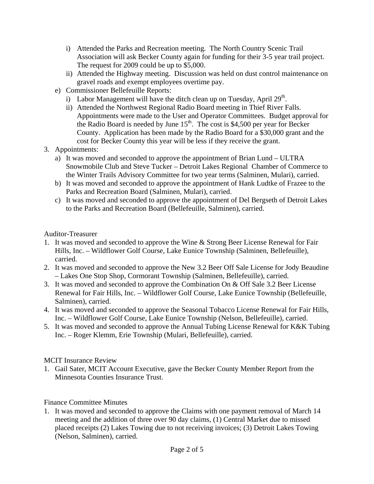- i) Attended the Parks and Recreation meeting. The North Country Scenic Trail Association will ask Becker County again for funding for their 3-5 year trail project. The request for 2009 could be up to \$5,000.
- ii) Attended the Highway meeting. Discussion was held on dust control maintenance on gravel roads and exempt employees overtime pay.
- e) Commissioner Bellefeuille Reports:
	- i) Labor Management will have the ditch clean up on Tuesday, April  $29<sup>th</sup>$ .
	- ii) Attended the Northwest Regional Radio Board meeting in Thief River Falls. Appointments were made to the User and Operator Committees. Budget approval for the Radio Board is needed by June  $15<sup>th</sup>$ . The cost is \$4,500 per year for Becker County. Application has been made by the Radio Board for a \$30,000 grant and the cost for Becker County this year will be less if they receive the grant.
- 3. Appointments:
	- a) It was moved and seconded to approve the appointment of Brian Lund ULTRA Snowmobile Club and Steve Tucker – Detroit Lakes Regional Chamber of Commerce to the Winter Trails Advisory Committee for two year terms (Salminen, Mulari), carried.
	- b) It was moved and seconded to approve the appointment of Hank Ludtke of Frazee to the Parks and Recreation Board (Salminen, Mulari), carried.
	- c) It was moved and seconded to approve the appointment of Del Bergseth of Detroit Lakes to the Parks and Recreation Board (Bellefeuille, Salminen), carried.

## Auditor-Treasurer

- 1. It was moved and seconded to approve the Wine & Strong Beer License Renewal for Fair Hills, Inc. – Wildflower Golf Course, Lake Eunice Township (Salminen, Bellefeuille), carried.
- 2. It was moved and seconded to approve the New 3.2 Beer Off Sale License for Jody Beaudine – Lakes One Stop Shop, Cormorant Township (Salminen, Bellefeuille), carried.
- 3. It was moved and seconded to approve the Combination On & Off Sale 3.2 Beer License Renewal for Fair Hills, Inc. – Wildflower Golf Course, Lake Eunice Township (Bellefeuille, Salminen), carried.
- 4. It was moved and seconded to approve the Seasonal Tobacco License Renewal for Fair Hills, Inc. – Wildflower Golf Course, Lake Eunice Township (Nelson, Bellefeuille), carried.
- 5. It was moved and seconded to approve the Annual Tubing License Renewal for K&K Tubing Inc. – Roger Klemm, Erie Township (Mulari, Bellefeuille), carried.

## MCIT Insurance Review

1. Gail Sater, MCIT Account Executive, gave the Becker County Member Report from the Minnesota Counties Insurance Trust.

## Finance Committee Minutes

1. It was moved and seconded to approve the Claims with one payment removal of March 14 meeting and the addition of three over 90 day claims, (1) Central Market due to missed placed receipts (2) Lakes Towing due to not receiving invoices; (3) Detroit Lakes Towing (Nelson, Salminen), carried.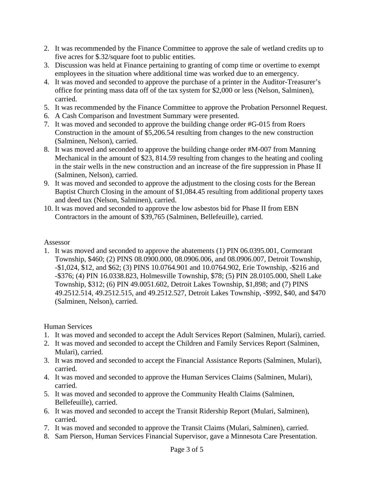- 2. It was recommended by the Finance Committee to approve the sale of wetland credits up to five acres for \$.32/square foot to public entities.
- 3. Discussion was held at Finance pertaining to granting of comp time or overtime to exempt employees in the situation where additional time was worked due to an emergency.
- 4. It was moved and seconded to approve the purchase of a printer in the Auditor-Treasurer's office for printing mass data off of the tax system for \$2,000 or less (Nelson, Salminen), carried.
- 5. It was recommended by the Finance Committee to approve the Probation Personnel Request.
- 6. A Cash Comparison and Investment Summary were presented.
- 7. It was moved and seconded to approve the building change order #G-015 from Roers Construction in the amount of \$5,206.54 resulting from changes to the new construction (Salminen, Nelson), carried.
- 8. It was moved and seconded to approve the building change order #M-007 from Manning Mechanical in the amount of \$23, 814.59 resulting from changes to the heating and cooling in the stair wells in the new construction and an increase of the fire suppression in Phase II (Salminen, Nelson), carried.
- 9. It was moved and seconded to approve the adjustment to the closing costs for the Berean Baptist Church Closing in the amount of \$1,084.45 resulting from additional property taxes and deed tax (Nelson, Salminen), carried.
- 10. It was moved and seconded to approve the low asbestos bid for Phase II from EBN Contractors in the amount of \$39,765 (Salminen, Bellefeuille), carried.

## Assessor

1. It was moved and seconded to approve the abatements (1) PIN 06.0395.001, Cormorant Township, \$460; (2) PINS 08.0900.000, 08.0906.006, and 08.0906.007, Detroit Township, -\$1,024, \$12, and \$62; (3) PINS 10.0764.901 and 10.0764.902, Erie Township, -\$216 and -\$376; (4) PIN 16.0338.823, Holmesville Township, \$78; (5) PIN 28.0105.000, Shell Lake Township, \$312; (6) PIN 49.0051.602, Detroit Lakes Township, \$1,898; and (7) PINS 49.2512.514, 49.2512.515, and 49.2512.527, Detroit Lakes Township, -\$992, \$40, and \$470 (Salminen, Nelson), carried.

# Human Services

- 1. It was moved and seconded to accept the Adult Services Report (Salminen, Mulari), carried.
- 2. It was moved and seconded to accept the Children and Family Services Report (Salminen, Mulari), carried.
- 3. It was moved and seconded to accept the Financial Assistance Reports (Salminen, Mulari), carried.
- 4. It was moved and seconded to approve the Human Services Claims (Salminen, Mulari), carried.
- 5. It was moved and seconded to approve the Community Health Claims (Salminen, Bellefeuille), carried.
- 6. It was moved and seconded to accept the Transit Ridership Report (Mulari, Salminen), carried.
- 7. It was moved and seconded to approve the Transit Claims (Mulari, Salminen), carried.
- 8. Sam Pierson, Human Services Financial Supervisor, gave a Minnesota Care Presentation.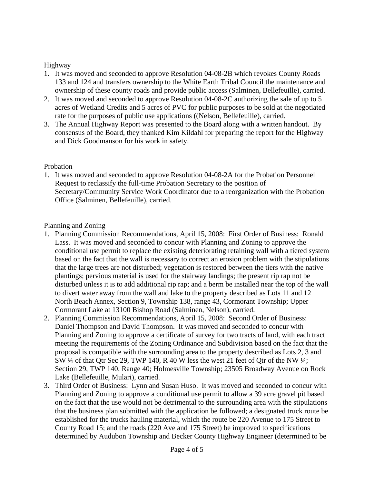## Highway

- 1. It was moved and seconded to approve Resolution 04-08-2B which revokes County Roads 133 and 124 and transfers ownership to the White Earth Tribal Council the maintenance and ownership of these county roads and provide public access (Salminen, Bellefeuille), carried.
- 2. It was moved and seconded to approve Resolution 04-08-2C authorizing the sale of up to 5 acres of Wetland Credits and 5 acres of PVC for public purposes to be sold at the negotiated rate for the purposes of public use applications ((Nelson, Bellefeuille), carried.
- 3. The Annual Highway Report was presented to the Board along with a written handout. By consensus of the Board, they thanked Kim Kildahl for preparing the report for the Highway and Dick Goodmanson for his work in safety.

## Probation

1. It was moved and seconded to approve Resolution 04-08-2A for the Probation Personnel Request to reclassify the full-time Probation Secretary to the position of Secretary/Community Service Work Coordinator due to a reorganization with the Probation Office (Salminen, Bellefeuille), carried.

## Planning and Zoning

- 1. Planning Commission Recommendations, April 15, 2008: First Order of Business: Ronald Lass. It was moved and seconded to concur with Planning and Zoning to approve the conditional use permit to replace the existing deteriorating retaining wall with a tiered system based on the fact that the wall is necessary to correct an erosion problem with the stipulations that the large trees are not disturbed; vegetation is restored between the tiers with the native plantings; pervious material is used for the stairway landings; the present rip rap not be disturbed unless it is to add additional rip rap; and a berm be installed near the top of the wall to divert water away from the wall and lake to the property described as Lots 11 and 12 North Beach Annex, Section 9, Township 138, range 43, Cormorant Township; Upper Cormorant Lake at 13100 Bishop Road (Salminen, Nelson), carried.
- 2. Planning Commission Recommendations, April 15, 2008: Second Order of Business: Daniel Thompson and David Thompson. It was moved and seconded to concur with Planning and Zoning to approve a certificate of survey for two tracts of land, with each tract meeting the requirements of the Zoning Ordinance and Subdivision based on the fact that the proposal is compatible with the surrounding area to the property described as Lots 2, 3 and SW ¼ of that Qtr Sec 29, TWP 140, R 40 W less the west 21 feet of Qtr of the NW ¼; Section 29, TWP 140, Range 40; Holmesville Township; 23505 Broadway Avenue on Rock Lake (Bellefeuille, Mulari), carried.
- 3. Third Order of Business: Lynn and Susan Huso. It was moved and seconded to concur with Planning and Zoning to approve a conditional use permit to allow a 39 acre gravel pit based on the fact that the use would not be detrimental to the surrounding area with the stipulations that the business plan submitted with the application be followed; a designated truck route be established for the trucks hauling material, which the route be 220 Avenue to 175 Street to County Road 15; and the roads (220 Ave and 175 Street) be improved to specifications determined by Audubon Township and Becker County Highway Engineer (determined to be